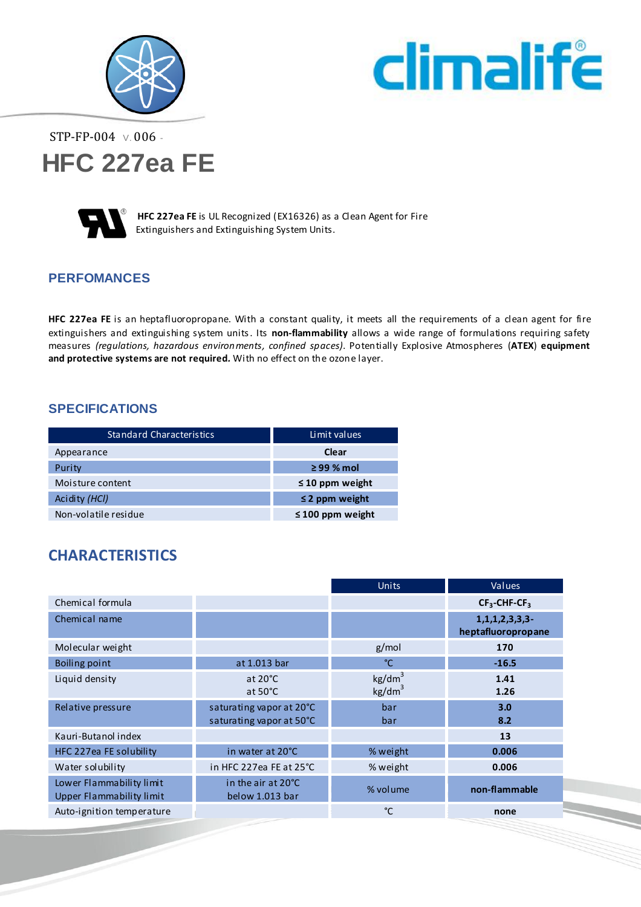



STP-FP-004 V. 006 -





 **HFC 227ea FE** is UL Recognized (EX16326) as a Clean Agent for Fire Extinguishers and Extinguishing System Units.

#### **PERFOMANCES**

**HFC 227ea FE** is an heptafluoropropane. With a constant quality, it meets all the requirements of a clean agent for fire extinguishers and extinguishing system units. Its **non-flammability** allows a wide range of formulations requiring safety measures *(regulations, hazardous environments, confined spaces)*. Potentially Explosive Atmospheres (**ATEX**) **equipment and protective systems are not required***.* With no effect on the ozone layer.

#### **SPECIFICATIONS**

| <b>Standard Characteristics</b> | Limit values          |
|---------------------------------|-----------------------|
| Appearance                      | Clear                 |
| Purity                          | $\geq$ 99 % mol       |
| Moisture content                | $\leq 10$ ppm weight  |
| Acidity (HCI)                   | $\leq$ 2 ppm weight   |
| Non-volatile residue            | $\leq 100$ ppm weight |

## **CHARACTERISTICS**

|                                                             |                                                      | Units                                    | Values                                    |
|-------------------------------------------------------------|------------------------------------------------------|------------------------------------------|-------------------------------------------|
| Chemical formula                                            |                                                      |                                          | $CF3-CHF-CF3$                             |
| Chemical name                                               |                                                      |                                          | 1, 1, 1, 2, 3, 3, 3<br>heptafluoropropane |
| Molecular weight                                            |                                                      | g/mol                                    | 170                                       |
| Boiling point                                               | at 1.013 bar                                         | °C                                       | $-16.5$                                   |
| Liquid density                                              | at $20^{\circ}$ C<br>at $50^{\circ}$ C               | kg/dm <sup>3</sup><br>kg/dm <sup>3</sup> | 1.41<br>1.26                              |
| Relative pressure                                           | saturating vapor at 20°C<br>saturating vapor at 50°C | bar<br>bar                               | 3.0<br>8.2                                |
| Kauri-Butanol index                                         |                                                      |                                          | 13                                        |
| HFC 227ea FE solubility                                     | in water at 20°C                                     | % weight                                 | 0.006                                     |
| Water solubility                                            | in HFC 227ea FE at 25 °C                             | % weight                                 | 0.006                                     |
| Lower Flammability limit<br><b>Upper Flammability limit</b> | in the air at 20°C<br>below 1.013 bar                | % volume                                 | non-flammable                             |
| Auto-ignition temperature                                   |                                                      | °C                                       | none                                      |
|                                                             |                                                      |                                          |                                           |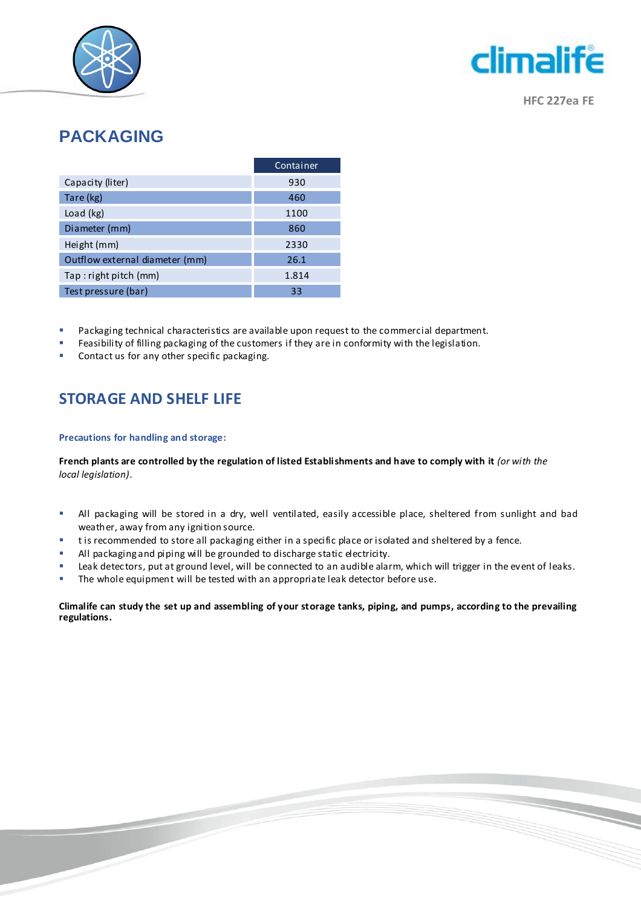



**HFC 227ea FE**

# **PACKAGING**

|                                | Container |
|--------------------------------|-----------|
| Capacity (liter)               | 930       |
| Tare (kg)                      | 460       |
| Load (kg)                      | 1100      |
| Diameter (mm)                  | 860       |
| Height (mm)                    | 2330      |
| Outflow external diameter (mm) | 26.1      |
| Tap: right pitch (mm)          | 1.814     |
| Test pressure (bar)            | 33        |

- Packaging technical characteristics are available upon request to the commercial department.
- Feasibility of filling packaging of the customers if they are in conformity with the legislation.
- Contact us for any other specific packaging.

## **STORAGE AND SHELF LIFE**

#### **Precautions for handling and storage:**

**French plants are controlled by the regulation of listed Establishments and have to comply with it** *(or with the local legislation).*

- All packaging will be stored in a dry, well ventilated, easily accessible place, sheltered from sunlight and bad weather, away from any ignition source.
- **that** is recommended to store all packaging either in a specific place or isolated and sheltered by a fence.
- **All packaging and piping will be grounded to discharge static electricity.**
- Leak detec tors, put at ground level, will be connected to an audible alarm, which will trigger in the event of leaks.
- **The whole equipment will be tested with an appropriate leak detector before use.**

#### **Climalife can study the set up and assembling of your storage tanks, piping, and pumps, according to the prevailing regulations.**